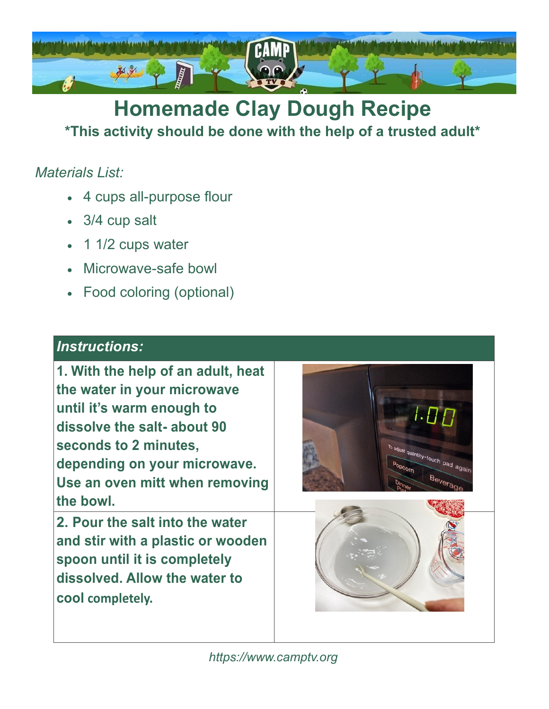

## **Homemade Clay Dough Recipe \*This activity should be done with the help of a trusted adult\***

### *Materials List:*

- 4 cups all-purpose flour
- 3/4 cup salt
- 1 1/2 cups water
- Microwave-safe bowl
- Food coloring (optional)

#### *Instructions:*

**1. With the help of an adult, heat the water in your microwave until it's warm enough to dissolve the salt- about 90 seconds to 2 minutes, depending on your microwave. Use an oven mitt when removing the bowl.**

**2. Pour the salt into the water and stir with a plastic or wooden spoon until it is completely dissolved. Allow the water to cool completely.**





*https:/[/www.camptv.org](http://www.camptv.org/)*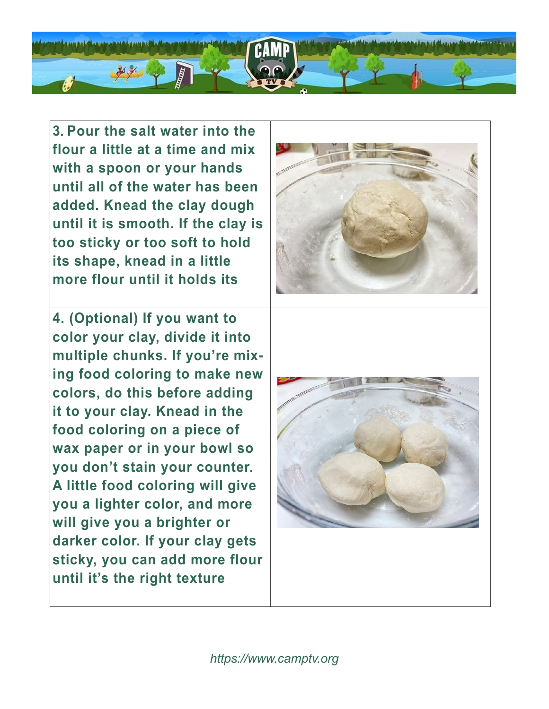

**3. Pour the salt water into the flour a little at a time and mix with a spoon or your hands until all of the water has been added. Knead the clay dough until it is smooth. If the clay is too sticky or too soft to hold its shape, knead in a little more flour until it holds its** 

**4. (Optional) If you want to color your clay, divide it into multiple chunks. If you're mixing food coloring to make new colors, do this before adding it to your clay. Knead in the food coloring on a piece of wax paper or in your bowl so you don't stain your counter. A little food coloring will give you a lighter color, and more will give you a brighter or darker color. If your clay gets sticky, you can add more flour until it's the right texture** 



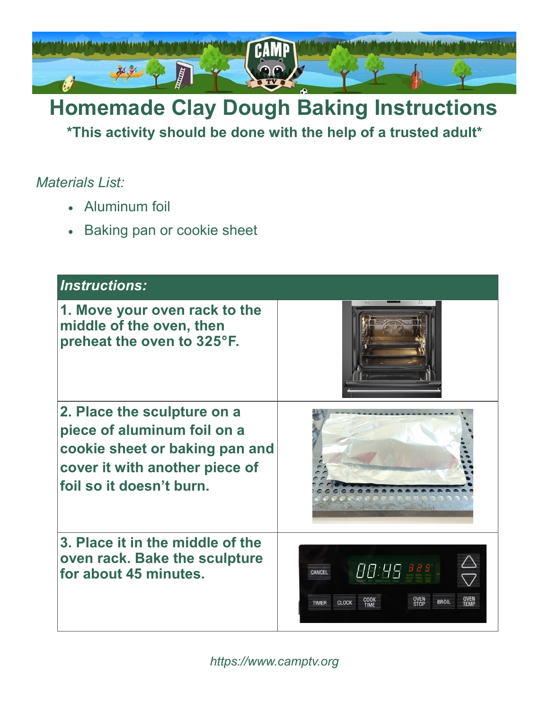

# **Homemade Clay Dough Baking Instructions**

**\*This activity should be done with the help of a trusted adult\***

#### *Materials List:*

- Aluminum foil
- Baking pan or cookie sheet

| <b>Instructions:</b>                                                                                                                                       |                                                                    |
|------------------------------------------------------------------------------------------------------------------------------------------------------------|--------------------------------------------------------------------|
| 1. Move your oven rack to the<br>middle of the oven, then<br>preheat the oven to 325°F.                                                                    |                                                                    |
| 2. Place the sculpture on a<br>piece of aluminum foil on a<br>cookie sheet or baking pan and<br>cover it with another piece of<br>foil so it doesn't burn. |                                                                    |
| 3. Place it in the middle of the<br>oven rack. Bake the sculpture<br>for about 45 minutes.                                                                 | $\theta\theta$ : $\theta\theta$ as a set<br>CANCEL<br><b>CLOCK</b> |